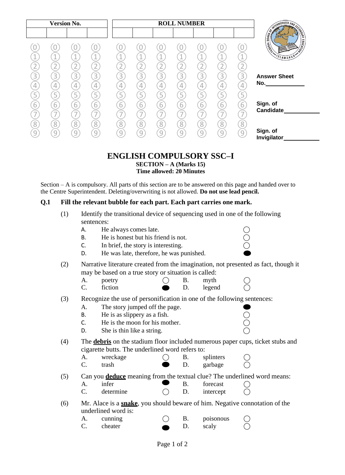|                                                 |                |                |        | <b>ROLL NUMBER</b> |                |   |   |                | <b>Version No.</b> |                |        |  |
|-------------------------------------------------|----------------|----------------|--------|--------------------|----------------|---|---|----------------|--------------------|----------------|--------|--|
| <b>CONTRACT AND SCRIPTION OF REAL PROPERTY.</b> |                |                |        |                    |                |   |   |                |                    |                |        |  |
| <b>LEADER</b>                                   |                |                |        |                    |                |   |   |                |                    |                |        |  |
| <b>VON</b><br>SLAMABAD*                         | 4              |                |        |                    |                |   | и |                |                    | A.             |        |  |
|                                                 |                |                |        |                    |                |   |   |                |                    |                |        |  |
|                                                 |                |                |        |                    |                |   |   | $\overline{3}$ |                    |                |        |  |
| <b>Answer Sheet</b><br>No.                      | 3              | $\overline{3}$ | 3      | 3                  | $\overline{3}$ | 3 | 3 |                | 3                  | 3              | 3      |  |
|                                                 |                |                |        | 4                  | $\overline{4}$ | 4 |   | 4              |                    | 4              |        |  |
|                                                 | 5              |                |        | 5                  |                |   | 5 |                |                    | 5              |        |  |
| Sign. of<br>Candidate                           | 6              | 6              | 6      | $\overline{6}$     | 6              | 6 | 6 | 6              | 6                  | $\overline{6}$ |        |  |
|                                                 |                |                |        |                    |                |   |   |                |                    |                |        |  |
|                                                 | 8              | 8 <sup>1</sup> | 8      | 8                  | 8              | 8 | 8 | $\overline{8}$ | 8                  | $\overline{8}$ | 8      |  |
| Sign. of<br>Invigilator                         | $\overline{9}$ | $\cup$         | $\cup$ | 9                  | $\bigcirc$     | q | 9 | q              | 9                  | 9              | $\cup$ |  |

# **ENGLISH COMPULSORY SSC–I**

**SECTION – A (Marks 15) Time allowed: 20 Minutes**

Section – A is compulsory. All parts of this section are to be answered on this page and handed over to the Centre Superintendent. Deleting/overwriting is not allowed. **Do not use lead pencil.**

#### **Q.1 Fill the relevant bubble for each part. Each part carries one mark.**

- (1) Identify the transitional device of sequencing used in one of the following sentences:
	-
	- A. He always comes late.  $\bigcirc$ <br>
	B. He is honest but his friend is not.  $\bigcirc$ <br>
	C. In brief, the story is interesting.  $\bigcirc$ B. He is honest but his friend is not.
	- $\mathsf{C}.$  In brief, the story is interesting.
	- D. He was late, therefore, he was punished.
- (2) Narrative literature created from the imagination, not presented as fact, though it may be based on a true story or situation is called:
	- A. poetry  $\bigcirc$  B. myth  $\bigcirc$  $C.$  fiction  $D.$  legend  $O$
- (3) Recognize the use of personification in one of the following sentences:
	- A. The story jumped off the page.
	-
	- B. He is as slippery as a fish.  $\bigcirc$ <br>
	C. He is the moon for his mother.  $\bigcirc$ <br>
	D. She is thin like a string.  $\bigcirc$ C. He is the moon for his mother.
	- $D.$  She is thin like a string.
- (4) The **debris** on the stadium floor included numerous paper cups, ticket stubs and cigarette butts. The underlined word refers to:
	- A. wreckage  $\bigcap$  B. splinters C. trash **D.** garbage
- (5) Can you **deduce** meaning from the textual clue? The underlined word means:
	- A. infer  $\bullet$  B. forecast  $\bigcirc$  $C.$  determine  $C.$  D. intercept  $C$
- (6) Mr. Alace is a **snake**, you should beware of him. Negative connotation of the underlined word is:
	- A. cunning  $\bigcap$  B. poisonous C. cheater  $\qquad \qquad$  D. scaly  $\qquad \bigcirc$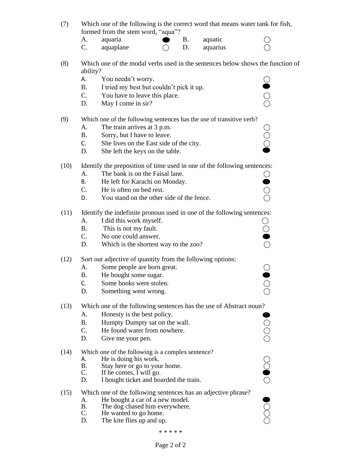| (7) | Which one of the following is the correct word that means water tank for fish, |
|-----|--------------------------------------------------------------------------------|
|     | formed from the stem word, "aqua"?                                             |

| Α. | aquaria   |  | aquatic  |  |
|----|-----------|--|----------|--|
| Č. | aquaplane |  | aquarius |  |

- (8) Which one of the modal verbs used in the sentences below shows the function of ability?
	- A. You needn't worry.
	- B. I tried my best but couldn't pick it up.
	- C. You have to leave this place.
	- D. May I come in sir?

#### (9) Which one of the following sentences has the use of transitive verb?

- 
- B. Sorry, but I have to leave.
- A. The train arrives at 3 p.m.  $\bigcirc$ <br>
B. Sorry, but I have to leave.  $\bigcirc$ <br>
C. She lives on the East side of the city.  $\bigcirc$ C. She lives on the East side of the city.
- D. She left the keys on the table.

#### (10) Identify the preposition of time used in one of the following sentences:

- A. The bank is on the Faisal lane.
- B. He left for Karachi on Monday.
- C. He is often on bed rest.
- D. You stand on the other side of the fence.

#### (11) Identify the indefinite pronoun used in one of the following sentences:

- A. I did this work myself.  $\bigcirc$ <br>
B. This is not my fault.  $\bigcirc$ <br>
C. No one could answer.
- B. This is not my fault.
- C. No one could answer.
- D. Which is the shortest way to the zoo?

### (12) Sort out adjective of quantity from the following options:

- A. Some people are born great. ◯<br>
B. He bought some sugar. ◯<br>
C. Some books were stolen. ◯<br>
D. Something went wrong. ◯
- B. He bought some sugar.
- C. Some books were stolen.
- D. Something went wrong.

# (13) Which one of the following sentences has the use of Abstract noun?

- A. Honesty is the best policy.
- 
- C. He found water from nowhere.
- D. Give me your pen.

#### (14) Which one of the following is a complex sentence?

- A. He is doing his work.<br>B. Stay here or go to you
- B. Stay here or go to your home.<br>C. If he comes, I will go.
- If he comes, I will go.
- D. I bought ticket and boarded the train.

# A. Honesty is the best policy.<br>
B. Humpty Dumpty sat on the wall.<br>
C. He found water from nowhere. <br>
D. Give me your pen. <br>
Which one of the following is a complex sentence?<br>
A. He is doing his work.<br>
B. Stay here or go t (15) Which one of the following sentences has an adjective phrase?

- A. He bought a car of a new model.<br>B. The dog chased him everywhere.
- B. The dog chased him everywhere.<br>C. He wanted to go home.
- C. He wanted to go home.<br>D. The kite flies up and up
- The kite flies up and up.

#### \* \* \* \* \*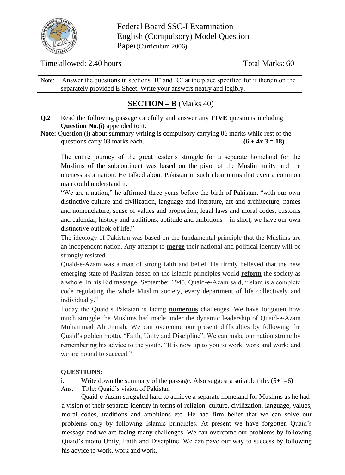

Federal Board SSC-I Examination English (Compulsory) Model Question Paper(Curriculum 2006)

Time allowed: 2.40 hours Total Marks: 60

Note: Answer the questions in sections 'B' and 'C' at the place specified for it therein on the separately provided E-Sheet. Write your answers neatly and legibly.

# **SECTION – B** (Marks 40)

- **Q.2** Read the following passage carefully and answer any **FIVE** questions including **Question No.(i)** appended to it.
- Note: Question (i) about summary writing is compulsory carrying 06 marks while rest of the questions carry 03 marks each.  $(6 + 4x 3 = 18)$

The entire journey of the great leader's struggle for a separate homeland for the Muslims of the subcontinent was based on the pivot of the Muslim unity and the oneness as a nation. He talked about Pakistan in such clear terms that even a common man could understand it.

"We are a nation," he affirmed three years before the birth of Pakistan, "with our own distinctive culture and civilization, language and literature, art and architecture, names and nomenclature, sense of values and proportion, legal laws and moral codes, customs and calendar, history and traditions, aptitude and ambitions – in short, we have our own distinctive outlook of life."

The ideology of Pakistan was based on the fundamental principle that the Muslims are an independent nation. Any attempt to **merge** their national and political identity will be strongly resisted.

Quaid-e-Azam was a man of strong faith and belief. He firmly believed that the new emerging state of Pakistan based on the Islamic principles would **reform** the society as a whole. In his Eid message, September 1945, Quaid-e-Azam said, "Islam is a complete code regulating the whole Muslim society, every department of life collectively and individually."

Today the Quaid's Pakistan is facing **numerous** challenges. We have forgotten how much struggle the Muslims had made under the dynamic leadership of Quaid-e-Azam Muhammad Ali Jinnah. We can overcome our present difficulties by following the Quaid's golden motto, "Faith, Unity and Discipline". We can make our nation strong by remembering his advice to the youth, "It is now up to you to work, work and work; and we are bound to succeed."

# **QUESTIONS:**

i. Write down the summary of the passage. Also suggest a suitable title.  $(5+1=6)$ Ans. Title: Quaid's vision of Pakistan

Quaid-e-Azam struggled hard to achieve a separate homeland for Muslims as he had a vision of their separate identity in terms of religion, culture, civilization, language, values, moral codes, traditions and ambitions etc. He had firm belief that we can solve our problems only by following Islamic principles. At present we have forgotten Quaid's message and we are facing many challenges. We can overcome our problems by following Quaid's motto Unity, Faith and Discipline. We can pave our way to success by following his advice to work, work and work.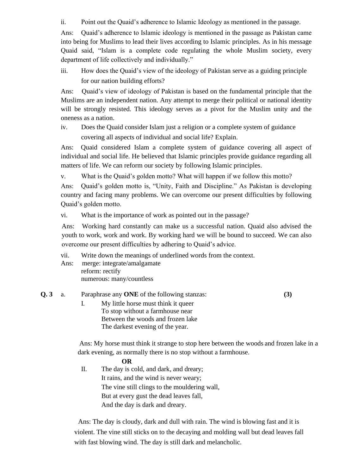ii. Point out the Quaid's adherence to Islamic Ideology as mentioned in the passage.

Ans: Quaid's adherence to Islamic ideology is mentioned in the passage as Pakistan came into being for Muslims to lead their lives according to Islamic principles. As in his message Quaid said, "Islam is a complete code regulating the whole Muslim society, every department of life collectively and individually."

iii. How does the Quaid's view of the ideology of Pakistan serve as a guiding principle for our nation building efforts?

Ans: Quaid's view of ideology of Pakistan is based on the fundamental principle that the Muslims are an independent nation. Any attempt to merge their political or national identity will be strongly resisted. This ideology serves as a pivot for the Muslim unity and the oneness as a nation.

iv. Does the Quaid consider Islam just a religion or a complete system of guidance covering all aspects of individual and social life? Explain.

Ans: Quaid considered Islam a complete system of guidance covering all aspect of individual and social life. He believed that Islamic principles provide guidance regarding all matters of life. We can reform our society by following Islamic principles.

v. What is the Quaid's golden motto? What will happen if we follow this motto?

Ans: Quaid's golden motto is, "Unity, Faith and Discipline." As Pakistan is developing country and facing many problems. We can overcome our present difficulties by following Quaid's golden motto.

vi. What is the importance of work as pointed out in the passage?

Ans: Working hard constantly can make us a successful nation. Quaid also advised the youth to work, work and work. By working hard we will be bound to succeed. We can also overcome our present difficulties by adhering to Quaid's advice.

- vii. Write down the meanings of underlined words from the context.
- Ans: merge: integrate/amalgamate
	- reform: rectify numerous: many/countless
- **Q. 3** a. Paraphrase any **ONE** of the following stanzas: **(3)**
- 

I. My little horse must think it queer To stop without a farmhouse near Between the woods and frozen lake The darkest evening of the year.

 Ans: My horse must think it strange to stop here between the woods and frozen lake in a dark evening, as normally there is no stop without a farmhouse.

#### **OR**

II. The day is cold, and dark, and dreary; It rains, and the wind is never weary; The vine still clings to the mouldering wall, But at every gust the dead leaves fall, And the day is dark and dreary.

 Ans: The day is cloudy, dark and dull with rain. The wind is blowing fast and it is violent. The vine still sticks on to the decaying and molding wall but dead leaves fall with fast blowing wind. The day is still dark and melancholic.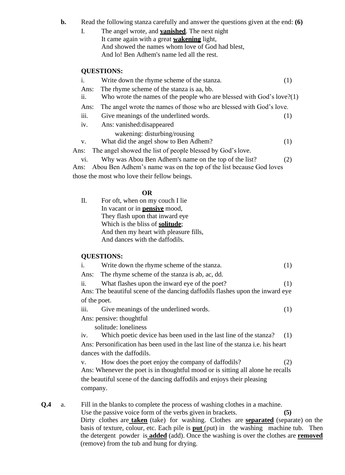**b.** Read the following stanza carefully and answer the questions given at the end: **(6)**

I. The angel wrote, and **vanished**. The next night It came again with a great **wakening** light, And showed the names whom love of God had blest, And lo! Ben Adhem's name led all the rest.

#### **QUESTIONS:**

|      | Write down the rhyme scheme of the stanza.                               | (1) |
|------|--------------------------------------------------------------------------|-----|
| Ans: | The rhyme scheme of the stanza is aa, bb.                                |     |
| 11.  | Who wrote the names of the people who are blessed with God's love? $(1)$ |     |
| Ans: | The angel wrote the names of those who are blessed with God's love.      |     |
| 111. | Give meanings of the underlined words.                                   | (1) |
| 1V.  | Ans: vanished: disappeared                                               |     |
|      | wakening: disturbing/rousing                                             |     |
| V.   | What did the angel show to Ben Adhem?                                    | (1) |
| Ans: | The angel showed the list of people blessed by God's love.               |     |
| V1.  | Why was Abou Ben Adhem's name on the top of the list?                    | (2) |
|      |                                                                          |     |

 Ans: Abou Ben Adhem's name was on the top of the list because God loves those the most who love their fellow beings.

#### **OR**

II. For oft, when on my couch I lie In vacant or in **pensive** mood, They flash upon that inward eye Which is the bliss of **solitude**; And then my heart with pleasure fills, And dances with the daffodils.

#### **QUESTIONS:**

i. Write down the rhyme scheme of the stanza. (1)

Ans: The rhyme scheme of the stanza is ab, ac, dd.

ii. What flashes upon the inward eye of the poet? (1)

Ans: The beautiful scene of the dancing daffodils flashes upon the inward eye of the poet.

iii. Give meanings of the underlined words. (1)

Ans: pensive: thoughtful

solitude: loneliness

iv. Which poetic device has been used in the last line of the stanza? (1) Ans: Personification has been used in the last line of the stanza i.e. his heart dances with the daffodils.

v. How does the poet enjoy the company of daffodils? (2) Ans: Whenever the poet is in thoughtful mood or is sitting all alone he recalls the beautiful scene of the dancing daffodils and enjoys their pleasing company.

**Q.4** a. Fill in the blanks to complete the process of washing clothes in a machine. Use the passive voice form of the verbs given in brackets. **(5)** Dirty clothes are **taken** (take) for washing. Clothes are **separated** (separate) on the basis of texture, colour, etc. Each pile is **put** (put) in the washing machine tub. Then the detergent powder is **added** (add). Once the washing is over the clothes are **removed** (remove) from the tub and hung for drying.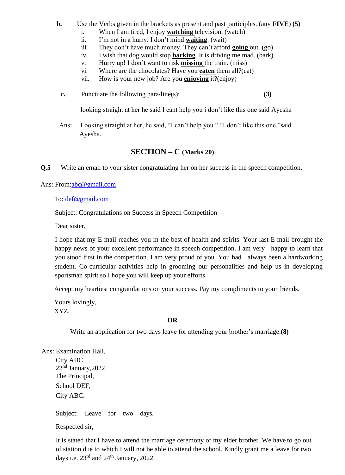- **b.** Use the Verbs given in the brackets as present and past participles. (any **FIVE**) **(5)**
	- i. When I am tired, I enjoy **watching** television. (watch)
	- ii. I'm not in a hurry. I don't mind **waiting**. (wait)<br>iii. They don't have much money. They can't affore
	- They don't have much money. They can't afford **going** out. (go)
	- iv. I wish that dog would stop **barking**. It is driving me mad. (bark)
	- v. Hurry up! I don't want to risk **missing** the train. (miss)
	- vi. Where are the chocolates? Have you **eaten** them all?(eat)
	- vii. How is your new job? Are you **enjoying** it?(enjoy)
	- **c.** Punctuate the following para/line(s): **(3)**

looking straight at her he said I cant help you i don't like this one said Ayesha

 Ans: Looking straight at her, he said, "I can't help you." "I don't like this one,"said Ayesha.

## **SECTION – C (Marks 20)**

**Q.5** Write an email to your sister congratulating her on her success in the speech competition.

Ans: From[:abc@gmail.com](mailto:abc@gmail.com)

To: [def@gmail.com](mailto:def@gmail.com)

Subject: Congratulations on Success in Speech Competition

Dear sister,

I hope that my E-mail reaches you in the best of health and spirits. Your last E-mail brought the happy news of your excellent performance in speech competition. I am very happy to learn that you stood first in the competition. I am very proud of you. You had always been a hardworking student. Co-curricular activities help in grooming our personalities and help us in developing sportsman spirit so I hope you will keep up your efforts.

Accept my heartiest congratulations on your success. Pay my compliments to your friends.

 Yours lovingly, XYZ.

#### **OR**

Write an application for two days leave for attending your brother's marriage.**(8)**

Ans: Examination Hall,

City ABC. 22<sup>nd</sup> January, 2022 The Principal, School DEF, City ABC.

Subject: Leave for two days.

Respected sir,

It is stated that I have to attend the marriage ceremony of my elder brother. We have to go out of station due to which I will not be able to attend the school. Kindly grant me a leave for two days i.e.  $23^{\text{rd}}$  and  $24^{\text{th}}$  January, 2022.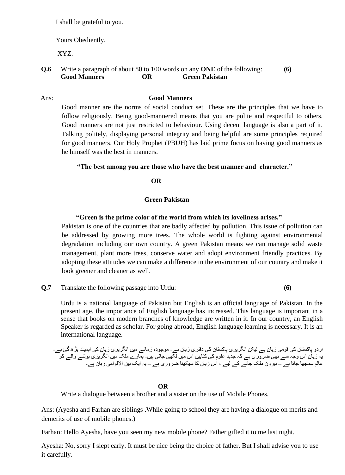I shall be grateful to you.

Yours Obediently,

XYZ.

**Q.6** Write a paragraph of about 80 to 100 words on any **ONE** of the following: **(6) Good Manners OR Green Pakistan**

#### Ans: **Good Manners**

Good manner are the norms of social conduct set. These are the principles that we have to follow religiously. Being good-mannered means that you are polite and respectful to others. Good manners are not just restricted to behaviour. Using decent language is also a part of it. Talking politely, displaying personal integrity and being helpful are some principles required for good manners. Our Holy Prophet (PBUH) has laid prime focus on having good manners as he himself was the best in manners.

#### **"The best among you are those who have the best manner and character."**

**OR**

#### **Green Pakistan**

#### **"Green is the prime color of the world from which its loveliness arises."**

Pakistan is one of the countries that are badly affected by pollution. This issue of pollution can be addressed by growing more trees. The whole world is fighting against environmental degradation including our own country. A green Pakistan means we can manage solid waste management, plant more trees, conserve water and adopt environment friendly practices. By adopting these attitudes we can make a difference in the environment of our country and make it look greener and cleaner as well.

**Q.7** Translate the following passage into Urdu: **(6)** 

Urdu is a national language of Pakistan but English is an official language of Pakistan. In the present age, the importance of English language has increased. This language is important in a sense that books on modern branches of knowledge are written in it. In our country, an English Speaker is regarded as scholar. For going abroad, English language learning is necessary. It is an international language.

اردو پاکستان کی قومی زبان ہے لیکن انگریزی پاکستان کی دفتری زبان ہے- موجودہ زمانے میں انگریزی زبان کی اہمیت بڑھ گئ ہے-یہ زبان اس وجہ سے بھی ضروری ہے کہ جدید علوم کی کتابیں اس میں لکھی جاتی ہیں- ہمارے ملک میں انگریزی بولنے والے کو عالم سمجھا جاتا ہے – بیرون ملک جانے کے لیے ، اس زبان کا سیکھنا ضروری ہے – یہ ایک بین االقوامی زبان ہے-

#### **OR**

Write a dialogue between a brother and a sister on the use of Mobile Phones.

Ans: (Ayesha and Farhan are siblings .While going to school they are having a dialogue on merits and demerits of use of mobile phones.)

Farhan: Hello Ayesha, have you seen my new mobile phone? Father gifted it to me last night.

Ayesha: No, sorry I slept early. It must be nice being the choice of father. But I shall advise you to use it carefully.